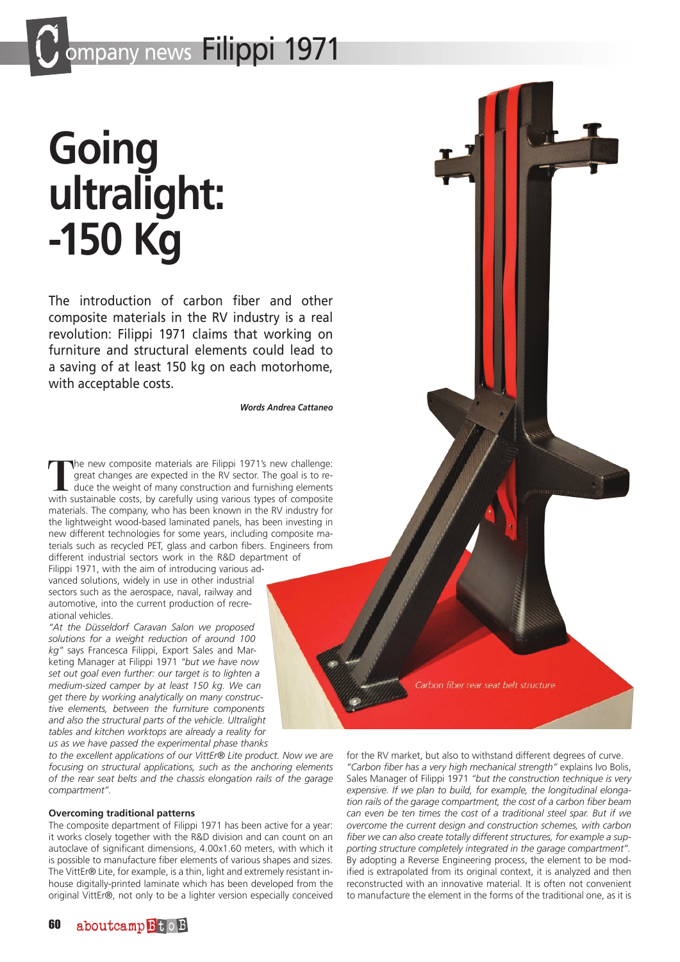## **Going ultralight: -150 Kg**

The introduction of carbon fiber and other composite materials in the RV industry is a real revolution: Filippi 1971 claims that working on furniture and structural elements could lead to a saving of at least 150 kg on each motorhome, with acceptable costs.

*Words Andrea Cattaneo*

**T**he new composite materials are Filippi 1971's new challenge: great changes are expected in the RV sector. The goal is to reduce the weight of many construction and furnishing elements with sustainable costs, by carefully using various types of composite materials. The company, who has been known in the RV industry for the lightweight wood-based laminated panels, has been investing in new different technologies for some years, including composite materials such as recycled PET, glass and carbon fibers. Engineers from different industrial sectors work in the R&D department of

Filippi 1971, with the aim of introducing various advanced solutions, widely in use in other industrial sectors such as the aerospace, naval, railway and automotive, into the current production of recreational vehicles.

*"At the Düsseldorf Caravan Salon we proposed solutions for a weight reduction of around 100 kg"* says Francesca Filippi, Export Sales and Marketing Manager at Filippi 1971 *"but we have now set out goal even further: our target is to lighten a medium-sized camper by at least 150 kg. We can get there by working analytically on many constructive elements, between the furniture components and also the structural parts of the vehicle. Ultralight tables and kitchen worktops are already a reality for us as we have passed the experimental phase thanks* 

*to the excellent applications of our VittEr® Lite product. Now we are focusing on structural applications, such as the anchoring elements of the rear seat belts and the chassis elongation rails of the garage compartment".*

## **Overcoming traditional patterns**

The composite department of Filippi 1971 has been active for a year: it works closely together with the R&D division and can count on an autoclave of significant dimensions, 4.00x1.60 meters, with which it is possible to manufacture fiber elements of various shapes and sizes. The VittEr® Lite, for example, is a thin, light and extremely resistant inhouse digitally-printed laminate which has been developed from the original VittEr®, not only to be a lighter version especially conceived



for the RV market, but also to withstand different degrees of curve. *"Carbon fiber has a very high mechanical strength"* explains Ivo Bolis, Sales Manager of Filippi 1971 *"but the construction technique is very expensive. If we plan to build, for example, the longitudinal elongation rails of the garage compartment, the cost of a carbon fiber beam can even be ten times the cost of a traditional steel spar. But if we overcome the current design and construction schemes, with carbon fiber we can also create totally different structures, for example a supporting structure completely integrated in the garage compartment".* By adopting a Reverse Engineering process, the element to be modified is extrapolated from its original context, it is analyzed and then reconstructed with an innovative material. It is often not convenient to manufacture the element in the forms of the traditional one, as it is